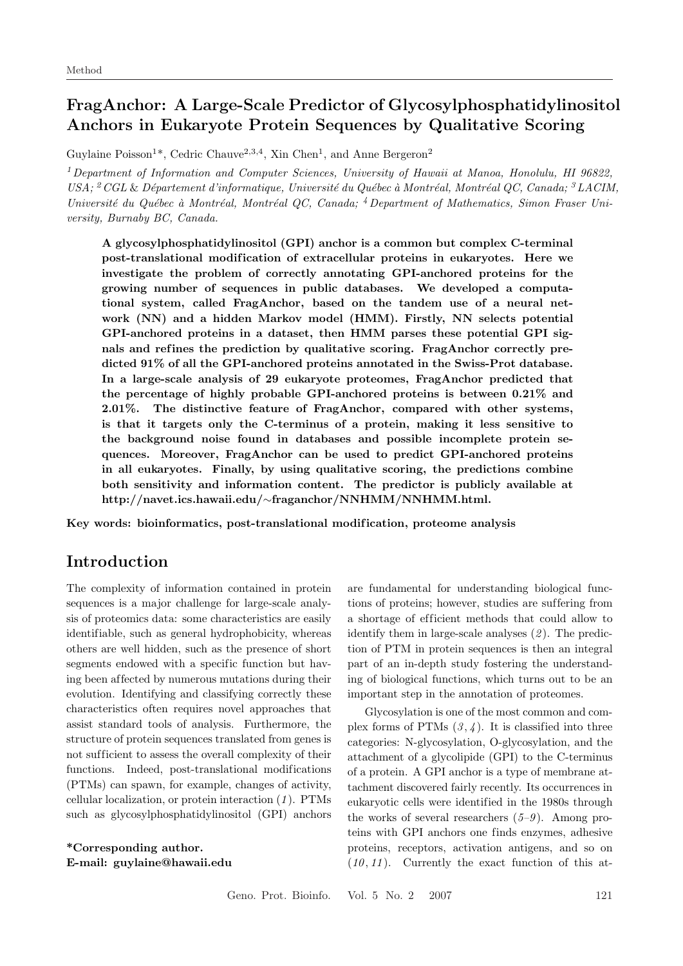# **FragAnchor: A Large-Scale Predictor of Glycosylphosphatidylinositol Anchors in Eukaryote Protein Sequences by Qualitative Scoring**

Guylaine Poisson<sup>1\*</sup>, Cedric Chauve<sup>2,3,4</sup>, Xin Chen<sup>1</sup>, and Anne Bergeron<sup>2</sup>

<sup>1</sup>*Department of Information and Computer Sciences, University of Hawaii at Manoa, Honolulu, HI 96822, USA;* <sup>2</sup>*CGL* & *D´epartement d'informatique, Universit´e du Qu´ebec `a Montr´eal, Montr´eal QC, Canada;* <sup>3</sup>*LACIM, Université du Québec à Montréal, Montréal QC, Canada;* <sup>4</sup> Department of Mathematics, Simon Fraser Uni*versity, Burnaby BC, Canada.*

**A glycosylphosphatidylinositol (GPI) anchor is a common but complex C-terminal post-translational modif ication of extracellular proteins in eukaryotes. Here we investigate the problem of correctly annotating GPI-anchored proteins for the growing number of sequences in public databases. We developed a computational system, called FragAnchor, based on the tandem use of a neural network (NN) and a hidden Markov model (HMM). Firstly, NN selects potential GPI-anchored proteins in a dataset, then HMM parses these potential GPI sig**nals and refines the prediction by qualitative scoring. FragAnchor correctly pre**dicted 91% of all the GPI-anchored proteins annotated in the Swiss-Prot database. In a large-scale analysis of 29 eukaryote proteomes, FragAnchor predicted that the percentage of highly probable GPI-anchored proteins is between 0.21% and 2.01%. The distinctive feature of FragAnchor, compared with other systems, is that it targets only the C-terminus of a protein, making it less sensitive to the background noise found in databases and possible incomplete protein sequences. Moreover, FragAnchor can be used to predict GPI-anchored proteins in all eukaryotes. Finally, by using qualitative scoring, the predictions combine both sensitivity and information content. The predictor is publicly available at http://navet.ics.hawaii.edu/**∼**fraganchor/NNHMM/NNHMM.html.**

**Key words: bioinformatics, post-translational modif ication, proteome analysis**

# **Introduction**

The complexity of information contained in protein sequences is a major challenge for large-scale analysis of proteomics data: some characteristics are easily identifiable, such as general hydrophobicity, whereas others are well hidden, such as the presence of short segments endowed with a specific function but having been af fected by numerous mutations during their evolution. Identifying and classifying correctly these characteristics often requires novel approaches that assist standard tools of analysis. Furthermore, the structure of protein sequences translated from genes is not suf ficient to assess the overall complexity of their functions. Indeed, post-translational modifications (PTMs) can spawn, for example, changes of activity, cellular localization, or protein interaction (*1* ). PTMs such as glycosylphosphatidylinositol (GPI) anchors

**\*Corresponding author. E-mail: guylaine@hawaii.edu**

are fundamental for understanding biological functions of proteins; however, studies are suffering from a shortage of efficient methods that could allow to identify them in large-scale analyses (*2* ). The prediction of PTM in protein sequences is then an integral part of an in-depth study fostering the understanding of biological functions, which turns out to be an important step in the annotation of proteomes.

Glycosylation is one of the most common and complex forms of PTMs  $(3, 4)$ . It is classified into three categories: N-glycosylation, O-glycosylation, and the attachment of a glycolipide (GPI) to the C-terminus of a protein. A GPI anchor is a type of membrane attachment discovered fairly recently. Its occurrences in eukaryotic cells were identified in the 1980s through the works of several researchers (*5–9* ). Among proteins with GPI anchors one finds enzymes, adhesive proteins, receptors, activation antigens, and so on  $(10, 11)$ . Currently the exact function of this at-

Geno. Prot. Bioinfo. Vol. 5 No. 2 2007 121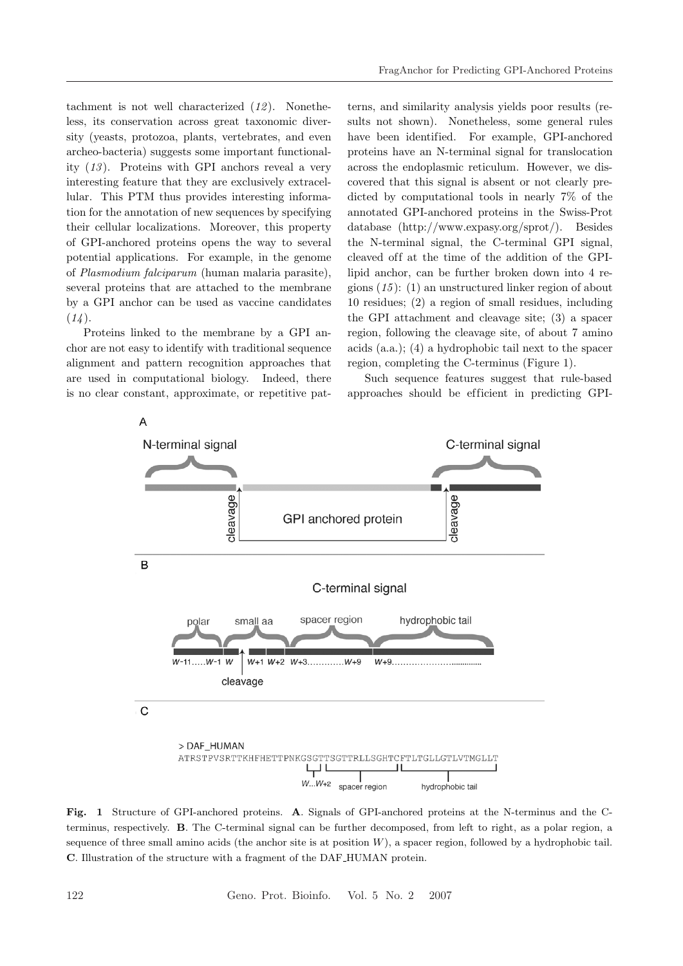tachment is not well characterized (*12* ). Nonetheless, its conservation across great taxonomic diversity (yeasts, protozoa, plants, vertebrates, and even archeo-bacteria) suggests some important functionality (*13* ). Proteins with GPI anchors reveal a very interesting feature that they are exclusively extracellular. This PTM thus provides interesting information for the annotation of new sequences by specifying their cellular localizations. Moreover, this property of GPI-anchored proteins opens the way to several potential applications. For example, in the genome of *Plasmodium falciparum* (human malaria parasite), several proteins that are attached to the membrane by a GPI anchor can be used as vaccine candidates (*14* ).

Proteins linked to the membrane by a GPI anchor are not easy to identify with traditional sequence alignment and pattern recognition approaches that are used in computational biology. Indeed, there is no clear constant, approximate, or repetitive pat-

terns, and similarity analysis yields poor results (results not shown). Nonetheless, some general rules have been identified. For example, GPI-anchored proteins have an N-terminal signal for translocation across the endoplasmic reticulum. However, we discovered that this signal is absent or not clearly predicted by computational tools in nearly 7% of the annotated GPI-anchored proteins in the Swiss-Prot database (http://www.expasy.org/sprot/). Besides the N-terminal signal, the C-terminal GPI signal, cleaved off at the time of the addition of the GPIlipid anchor, can be further broken down into 4 regions (*15* ): (1) an unstructured linker region of about 10 residues; (2) a region of small residues, including the GPI attachment and cleavage site; (3) a spacer region, following the cleavage site, of about 7 amino acids (a.a.); (4) a hydrophobic tail next to the spacer region, completing the C-terminus (Figure 1).

Such sequence features suggest that rule-based approaches should be efficient in predicting GPI-



**Fig. 1** Structure of GPI-anchored proteins. **A**. Signals of GPI-anchored proteins at the N-terminus and the Cterminus, respectively. **B**. The C-terminal signal can be further decomposed, from left to right, as a polar region, a sequence of three small amino acids (the anchor site is at position  $W$ ), a spacer region, followed by a hydrophobic tail. **C**. Illustration of the structure with a fragment of the DAF HUMAN protein.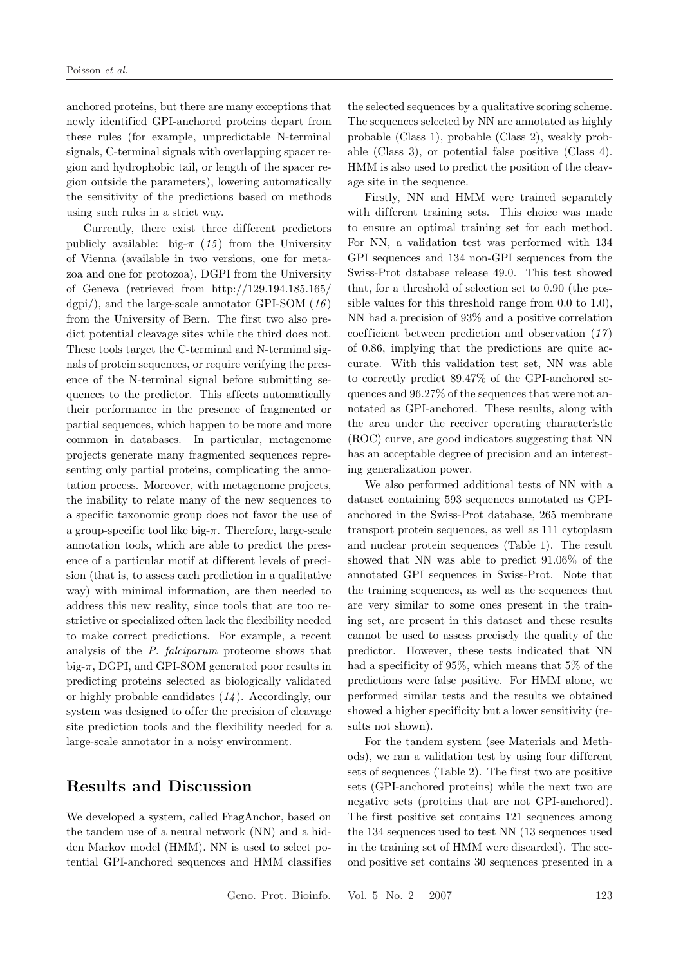anchored proteins, but there are many exceptions that newly identified GPI-anchored proteins depart from these rules (for example, unpredictable N-terminal signals, C-terminal signals with overlapping spacer region and hydrophobic tail, or length of the spacer region outside the parameters), lowering automatically the sensitivity of the predictions based on methods using such rules in a strict way.

Currently, there exist three different predictors publicly available: big- $\pi$  (15) from the University of Vienna (available in two versions, one for metazoa and one for protozoa), DGPI from the University of Geneva (retrieved from http://129.194.185.165/ dgpi/), and the large-scale annotator GPI-SOM (*16* ) from the University of Bern. The first two also predict potential cleavage sites while the third does not. These tools target the C-terminal and N-terminal signals of protein sequences, or require verifying the presence of the N-terminal signal before submitting sequences to the predictor. This affects automatically their performance in the presence of fragmented or partial sequences, which happen to be more and more common in databases. In particular, metagenome projects generate many fragmented sequences representing only partial proteins, complicating the annotation process. Moreover, with metagenome projects, the inability to relate many of the new sequences to a specific taxonomic group does not favor the use of a group-specific tool like big- $\pi$ . Therefore, large-scale annotation tools, which are able to predict the presence of a particular motif at different levels of precision (that is, to assess each prediction in a qualitative way) with minimal information, are then needed to address this new reality, since tools that are too restrictive or specialized often lack the flexibility needed to make correct predictions. For example, a recent analysis of the *P. falciparum* proteome shows that big- $\pi$ , DGPI, and GPI-SOM generated poor results in predicting proteins selected as biologically validated or highly probable candidates (*14* ). Accordingly, our system was designed to offer the precision of cleavage site prediction tools and the flexibility needed for a large-scale annotator in a noisy environment.

## **Results and Discussion**

We developed a system, called FragAnchor, based on the tandem use of a neural network (NN) and a hidden Markov model (HMM). NN is used to select potential GPI-anchored sequences and HMM classifies

the selected sequences by a qualitative scoring scheme. The sequences selected by NN are annotated as highly probable (Class 1), probable (Class 2), weakly probable (Class 3), or potential false positive (Class 4). HMM is also used to predict the position of the cleavage site in the sequence.

Firstly, NN and HMM were trained separately with different training sets. This choice was made to ensure an optimal training set for each method. For NN, a validation test was performed with 134 GPI sequences and 134 non-GPI sequences from the Swiss-Prot database release 49.0. This test showed that, for a threshold of selection set to 0.90 (the possible values for this threshold range from 0.0 to 1.0), NN had a precision of 93% and a positive correlation coef ficient between prediction and observation (*17* ) of 0.86, implying that the predictions are quite accurate. With this validation test set, NN was able to correctly predict 89.47% of the GPI-anchored sequences and 96.27% of the sequences that were not annotated as GPI-anchored. These results, along with the area under the receiver operating characteristic (ROC) curve, are good indicators suggesting that NN has an acceptable degree of precision and an interesting generalization power.

We also performed additional tests of NN with a dataset containing 593 sequences annotated as GPIanchored in the Swiss-Prot database, 265 membrane transport protein sequences, as well as 111 cytoplasm and nuclear protein sequences (Table 1). The result showed that NN was able to predict 91.06% of the annotated GPI sequences in Swiss-Prot. Note that the training sequences, as well as the sequences that are very similar to some ones present in the training set, are present in this dataset and these results cannot be used to assess precisely the quality of the predictor. However, these tests indicated that NN had a specificity of 95%, which means that 5% of the predictions were false positive. For HMM alone, we performed similar tests and the results we obtained showed a higher specificity but a lower sensitivity (results not shown).

For the tandem system (see Materials and Methods), we ran a validation test by using four different sets of sequences (Table 2). The first two are positive sets (GPI-anchored proteins) while the next two are negative sets (proteins that are not GPI-anchored). The first positive set contains 121 sequences among the 134 sequences used to test NN (13 sequences used in the training set of HMM were discarded). The second positive set contains 30 sequences presented in a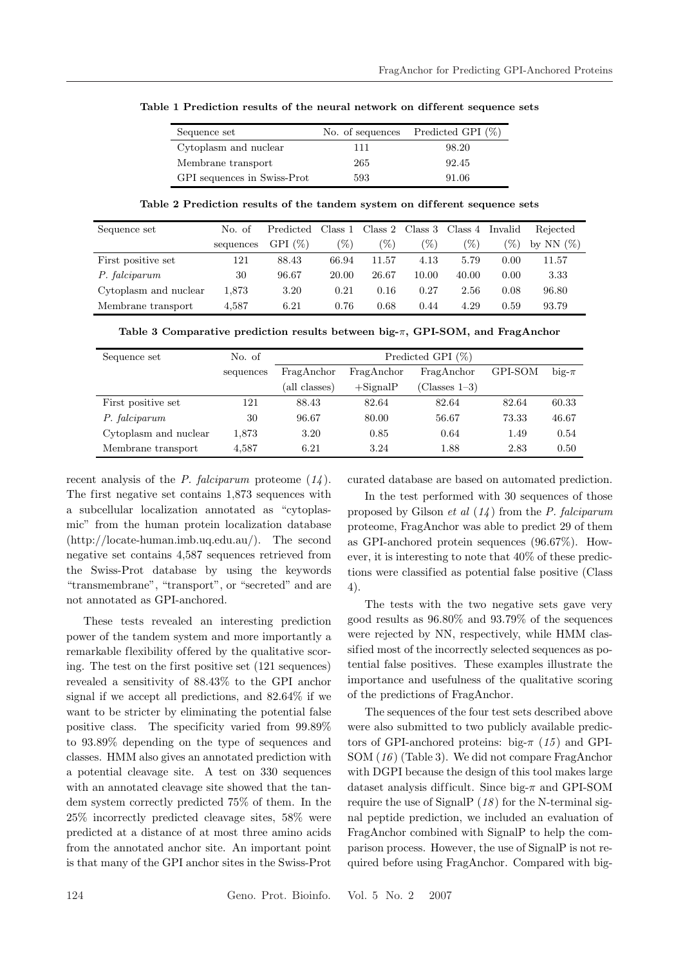| Sequence set                |     | No. of sequences Predicted GPI $(\%)$ |
|-----------------------------|-----|---------------------------------------|
| Cytoplasm and nuclear       | 111 | 98.20                                 |
| Membrane transport          | 265 | 92.45                                 |
| GPI sequences in Swiss-Prot | 593 | 91.06                                 |

**Table 1 Prediction results of the neural network on dif ferent sequence sets**

**Table 2 Prediction results of the tandem system on dif ferent sequence sets**

| Sequence set          | No. of    | Predicted  | Class 1 |       | Class 2 $\,$ Class 3 | Class 4 | Invalid         | Rejected    |
|-----------------------|-----------|------------|---------|-------|----------------------|---------|-----------------|-------------|
|                       | sequences | GPI $(\%)$ | '%)     | '%)   | $\mathscr{C}_0$      | '%)     | $\mathscr{C}_0$ | NN(%)<br>bv |
| First positive set    | 121       | 88.43      | 66.94   | 11.57 | 4.13                 | 5.79    | 0.00            | 11.57       |
| P. falciparum         | 30        | 96.67      | 20.00   | 26.67 | 10.00                | 40.00   | 0.00            | 3.33        |
| Cytoplasm and nuclear | 1,873     | 3.20       | 0.21    | 0.16  | 0.27                 | 2.56    | 0.08            | 96.80       |
| Membrane transport    | 4.587     | 6.21       | 0.76    | 0.68  | 0.44                 | 4.29    | 0.59            | 93.79       |

| Sequence set          | No. of    | Predicted GPI (%) |             |                       |         |           |
|-----------------------|-----------|-------------------|-------------|-----------------------|---------|-----------|
|                       | sequences | FragAnchor        | FragAnchor  | FragAnchor            | GPI-SOM | $big-\pi$ |
|                       |           | (all classes)     | $+$ SignalP | $\text{Classes } 1-3$ |         |           |
| First positive set    | 121       | 88.43             | 82.64       | 82.64                 | 82.64   | 60.33     |
| P. falciparum         | 30        | 96.67             | 80.00       | 56.67                 | 73.33   | 46.67     |
| Cytoplasm and nuclear | 1,873     | 3.20              | 0.85        | 0.64                  | 1.49    | 0.54      |
| Membrane transport    | 4,587     | 6.21              | 3.24        | 1.88                  | 2.83    | 0.50      |

recent analysis of the *P. falciparum* proteome (*14* ). The first negative set contains 1,873 sequences with a subcellular localization annotated as "cytoplasmic" from the human protein localization database (http://locate-human.imb.uq.edu.au/). The second negative set contains 4,587 sequences retrieved from the Swiss-Prot database by using the keywords "transmembrane", "transport", or "secreted" and are not annotated as GPI-anchored.

These tests revealed an interesting prediction power of the tandem system and more importantly a remarkable flexibility of fered by the qualitative scoring. The test on the first positive set (121 sequences) revealed a sensitivity of 88.43% to the GPI anchor signal if we accept all predictions, and 82.64% if we want to be stricter by eliminating the potential false positive class. The specificity varied from 99.89% to 93.89% depending on the type of sequences and classes. HMM also gives an annotated prediction with a potential cleavage site. A test on 330 sequences with an annotated cleavage site showed that the tandem system correctly predicted 75% of them. In the 25% incorrectly predicted cleavage sites, 58% were predicted at a distance of at most three amino acids from the annotated anchor site. An important point is that many of the GPI anchor sites in the Swiss-Prot

curated database are based on automated prediction.

In the test performed with 30 sequences of those proposed by Gilson *et al* (*14* ) from the *P. falciparum* proteome, FragAnchor was able to predict 29 of them as GPI-anchored protein sequences (96.67%). However, it is interesting to note that 40% of these predictions were classified as potential false positive (Class 4).

The tests with the two negative sets gave very good results as 96.80% and 93.79% of the sequences were rejected by NN, respectively, while HMM classified most of the incorrectly selected sequences as potential false positives. These examples illustrate the importance and usefulness of the qualitative scoring of the predictions of FragAnchor.

The sequences of the four test sets described above were also submitted to two publicly available predictors of GPI-anchored proteins: big- $\pi$  (15) and GPI-SOM (*16* ) (Table 3). We did not compare FragAnchor with DGPI because the design of this tool makes large dataset analysis difficult. Since big- $\pi$  and GPI-SOM require the use of SignalP (*18* ) for the N-terminal signal peptide prediction, we included an evaluation of FragAnchor combined with SignalP to help the comparison process. However, the use of SignalP is not required before using FragAnchor. Compared with big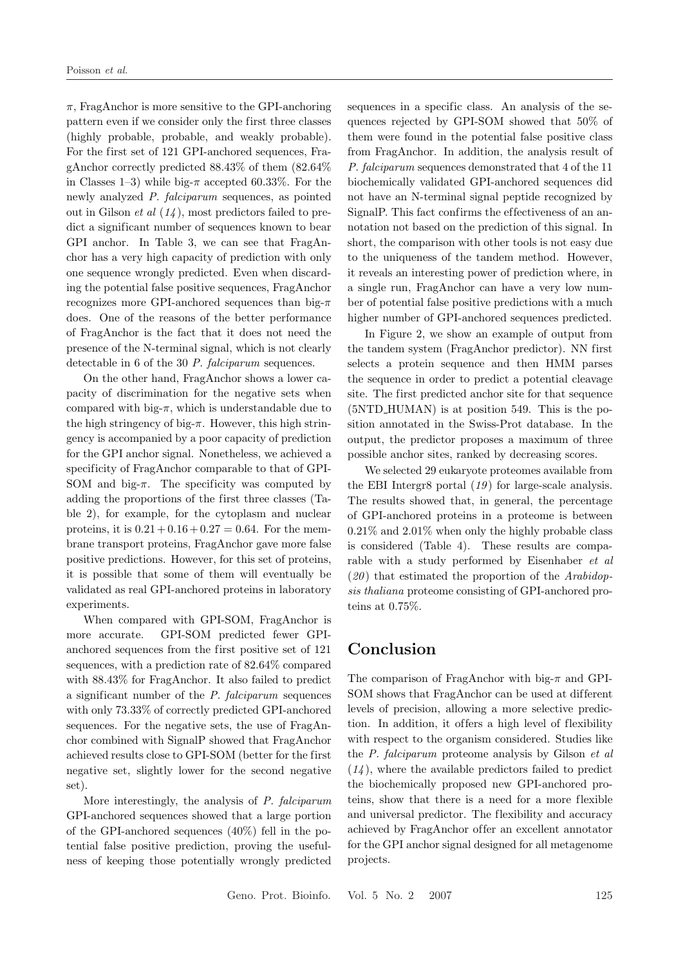$\pi$ , FragAnchor is more sensitive to the GPI-anchoring pattern even if we consider only the first three classes (highly probable, probable, and weakly probable). For the first set of 121 GPI-anchored sequences, FragAnchor correctly predicted 88.43% of them (82.64% in Classes 1–3) while big- $\pi$  accepted 60.33%. For the newly analyzed *P. falciparum* sequences, as pointed out in Gilson *et al* (*14* ), most predictors failed to predict a significant number of sequences known to bear GPI anchor. In Table 3, we can see that FragAnchor has a very high capacity of prediction with only one sequence wrongly predicted. Even when discarding the potential false positive sequences, FragAnchor recognizes more GPI-anchored sequences than big- $\pi$ does. One of the reasons of the better performance of FragAnchor is the fact that it does not need the presence of the N-terminal signal, which is not clearly detectable in 6 of the 30 *P. falciparum* sequences.

On the other hand, FragAnchor shows a lower capacity of discrimination for the negative sets when compared with big- $\pi$ , which is understandable due to the high stringency of big- $\pi$ . However, this high stringency is accompanied by a poor capacity of prediction for the GPI anchor signal. Nonetheless, we achieved a specificity of FragAnchor comparable to that of GPI-SOM and big- $\pi$ . The specificity was computed by adding the proportions of the first three classes (Table 2), for example, for the cytoplasm and nuclear proteins, it is  $0.21 + 0.16 + 0.27 = 0.64$ . For the membrane transport proteins, FragAnchor gave more false positive predictions. However, for this set of proteins, it is possible that some of them will eventually be validated as real GPI-anchored proteins in laboratory experiments.

When compared with GPI-SOM, FragAnchor is more accurate. GPI-SOM predicted fewer GPIanchored sequences from the first positive set of 121 sequences, with a prediction rate of 82.64% compared with 88.43% for FragAnchor. It also failed to predict a significant number of the *P. falciparum* sequences with only 73.33% of correctly predicted GPI-anchored sequences. For the negative sets, the use of FragAnchor combined with SignalP showed that FragAnchor achieved results close to GPI-SOM (better for the first negative set, slightly lower for the second negative set).

More interestingly, the analysis of *P. falciparum* GPI-anchored sequences showed that a large portion of the GPI-anchored sequences (40%) fell in the potential false positive prediction, proving the usefulness of keeping those potentially wrongly predicted

sequences in a specific class. An analysis of the sequences rejected by GPI-SOM showed that 50% of them were found in the potential false positive class from FragAnchor. In addition, the analysis result of *P. falciparum* sequences demonstrated that 4 of the 11 biochemically validated GPI-anchored sequences did not have an N-terminal signal peptide recognized by SignalP. This fact confirms the ef fectiveness of an annotation not based on the prediction of this signal. In short, the comparison with other tools is not easy due to the uniqueness of the tandem method. However, it reveals an interesting power of prediction where, in a single run, FragAnchor can have a very low number of potential false positive predictions with a much higher number of GPI-anchored sequences predicted.

In Figure 2, we show an example of output from the tandem system (FragAnchor predictor). NN first selects a protein sequence and then HMM parses the sequence in order to predict a potential cleavage site. The first predicted anchor site for that sequence (5NTD HUMAN) is at position 549. This is the position annotated in the Swiss-Prot database. In the output, the predictor proposes a maximum of three possible anchor sites, ranked by decreasing scores.

We selected 29 eukaryote proteomes available from the EBI Intergr8 portal (*19* ) for large-scale analysis. The results showed that, in general, the percentage of GPI-anchored proteins in a proteome is between 0.21% and 2.01% when only the highly probable class is considered (Table 4). These results are comparable with a study performed by Eisenhaber *et al* (*20* ) that estimated the proportion of the *Arabidopsis thaliana* proteome consisting of GPI-anchored proteins at 0.75%.

# **Conclusion**

The comparison of FragAnchor with big- $\pi$  and GPI-SOM shows that FragAnchor can be used at different levels of precision, allowing a more selective prediction. In addition, it offers a high level of flexibility with respect to the organism considered. Studies like the *P. falciparum* proteome analysis by Gilson *et al* (*14* ), where the available predictors failed to predict the biochemically proposed new GPI-anchored proteins, show that there is a need for a more flexible and universal predictor. The flexibility and accuracy achieved by FragAnchor of fer an excellent annotator for the GPI anchor signal designed for all metagenome projects.

Geno. Prot. Bioinfo. Vol. 5 No. 2 2007 125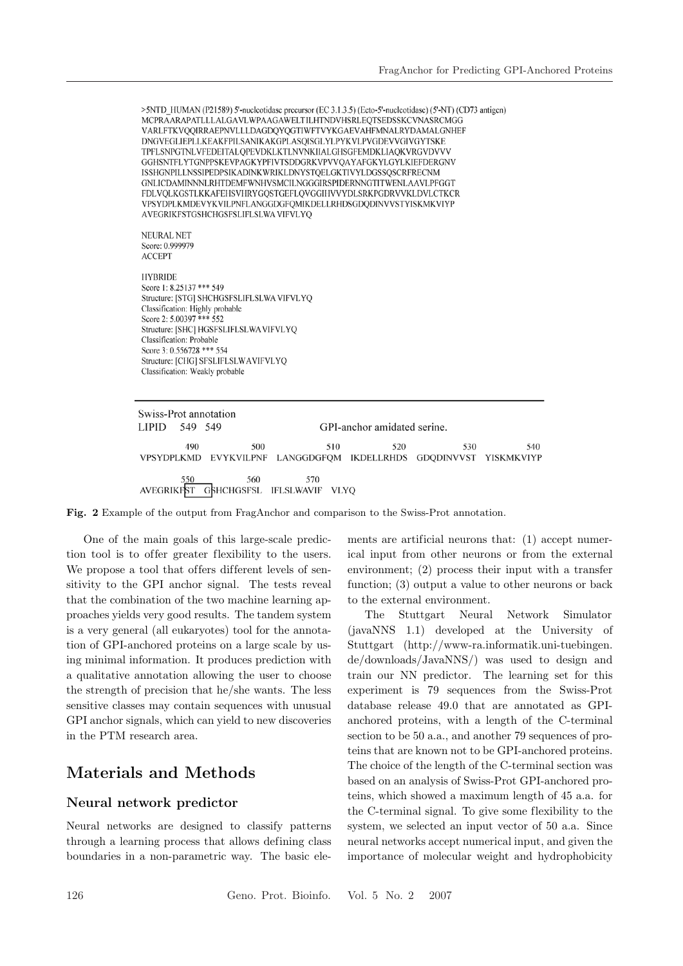>5NTD HUMAN (P21589) 5'-nucleotidase precursor (EC 3.1.3.5) (Ecto-5'-nucleotidase) (5'-NT) (CD73 antigen) MCPRAARAPATLLLALGAVLWPAAGAWELTILHTNDVHSRLEOTSEDSSKCVNASRCMGG VARLFTKVQQIRRAEPNVLLLDAGDQYQGTIWFTVYKGAEVAHFMNALRYDAMALGNHEF DNGVEGLIEPLLKEAKFPILSANIKAKGPLASQISGLYLPYKVLPVGDEVVGIVGYTSKE TPFLSNPGTNLVFEDEITALQPEVDKLKTLNVNKIIALGHSGFEMDKLIAQKVRGVDVVV GGHSNTFLYTGNPPSKEVPAGKYPFIVTSDDGRKVPVVOAYAFGKYLGYLKIEFDERGNV ISSHGNPILLNSSIPEDPSIKADINKWRIKLDNYSTQELGKTIVYLDGSSQSCRFRECNM GNLICDAMINNNLRHTDEMFWNHVSMCILNGGGIRSPIDERNNGTITWENLAAVLPFGGT FDLVQLKGSTLKKAFEHSVHRYGQSTGEFLQVGGIHVVYDLSRKPGDRVVKLDVLCTKCR VPSYDPLKMDEVYKVILPNFLANGGDGFQMIKDELLRHDSGDQDINVVSTYISKMKVIYP AVEGRIKFSTGSHCHGSFSLIFLSLWA VIFVLYQ **NEURAL NET** Score: 0.999979 **ACCEPT HYBRIDE** Score 1: 8.25137 \*\*\* 549 Structure: [STG] SHCHGSFSLIFLSLWA VIFVLYQ Classification: Highly probable Score 2: 5.00397 \*\*\* 552 Structure: [SHC] HGSFSLIFLSLWAVIFVLYQ Classification: Probable Score 3: 0.556728 \*\*\* 554 Structure: [CHG] SFSLIFLSLWAVIFVLYQ Classification: Weakly probable Swiss-Prot annotation LIPID 549 549 GPI-anchor amidated serine. 490 500 510 520 530 540 VPSYDPLKMD EVYKVILPNF LANGGDGFQM IKDELLRHDS GDQDINVVST YISKMKVIYP 560 570

AVEGRIKFST GSHCHGSFSL IFLSLWAVIF VLYQ

**Fig. 2** Example of the output from FragAnchor and comparison to the Swiss-Prot annotation.

One of the main goals of this large-scale prediction tool is to offer greater flexibility to the users. We propose a tool that offers different levels of sensitivity to the GPI anchor signal. The tests reveal that the combination of the two machine learning approaches yields very good results. The tandem system is a very general (all eukaryotes) tool for the annotation of GPI-anchored proteins on a large scale by using minimal information. It produces prediction with a qualitative annotation allowing the user to choose the strength of precision that he/she wants. The less sensitive classes may contain sequences with unusual GPI anchor signals, which can yield to new discoveries in the PTM research area.

## **Materials and Methods**

#### **Neural network predictor**

Neural networks are designed to classify patterns through a learning process that allows defining class boundaries in a non-parametric way. The basic elements are artificial neurons that: (1) accept numerical input from other neurons or from the external environment; (2) process their input with a transfer function; (3) output a value to other neurons or back to the external environment.

The Stuttgart Neural Network Simulator (javaNNS 1.1) developed at the University of Stuttgart (http://www-ra.informatik.uni-tuebingen. de/downloads/JavaNNS/) was used to design and train our NN predictor. The learning set for this experiment is 79 sequences from the Swiss-Prot database release 49.0 that are annotated as GPIanchored proteins, with a length of the C-terminal section to be 50 a.a., and another 79 sequences of proteins that are known not to be GPI-anchored proteins. The choice of the length of the C-terminal section was based on an analysis of Swiss-Prot GPI-anchored proteins, which showed a maximum length of 45 a.a. for the C-terminal signal. To give some flexibility to the system, we selected an input vector of 50 a.a. Since neural networks accept numerical input, and given the importance of molecular weight and hydrophobicity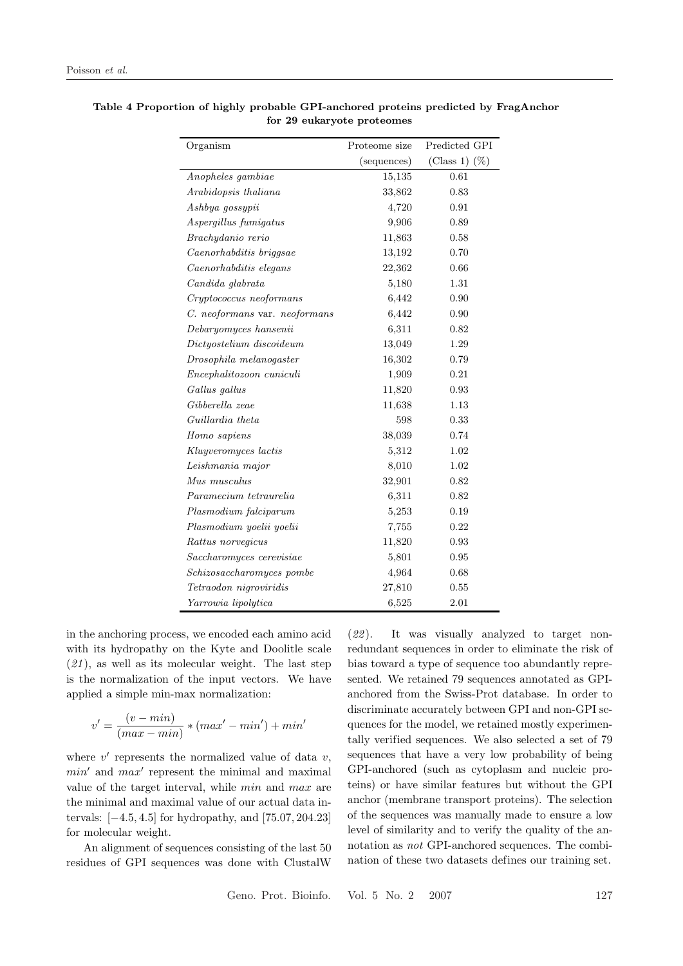| Organism                      | Proteome size | Predicted GPI      |
|-------------------------------|---------------|--------------------|
|                               | (sequences)   | $(Class 1)$ $(\%)$ |
| Anopheles gambiae             | 15,135        | 0.61               |
| Arabidopsis thaliana          | 33,862        | 0.83               |
| Ashbya gossypii               | 4,720         | 0.91               |
| Aspergillus fumigatus         | 9,906         | 0.89               |
| Brachydanio rerio             | 11,863        | 0.58               |
| Caenorhabditis briggsae       | 13,192        | 0.70               |
| Caenorhabditis elegans        | 22,362        | 0.66               |
| Candida glabrata              | 5,180         | 1.31               |
| Cryptococcus neoformans       | 6,442         | 0.90               |
| C. neoformans var. neoformans | 6,442         | 0.90               |
| Debaryomyces hansenii         | 6,311         | 0.82               |
| Dictyostelium discoideum      | 13,049        | 1.29               |
| Drosophila melanogaster       | 16,302        | 0.79               |
| Encephalitozoon cuniculi      | 1,909         | 0.21               |
| Gallus gallus                 | 11,820        | 0.93               |
| Gibberella zeae               | 11,638        | 1.13               |
| Guillardia theta              | 598           | 0.33               |
| Homo sapiens                  | 38,039        | 0.74               |
| Kluyveromyces lactis          | 5,312         | 1.02               |
| Leishmania major              | 8,010         | 1.02               |
| Mus musculus                  | 32,901        | 0.82               |
| Paramecium tetraurelia        | 6,311         | 0.82               |
| Plasmodium falciparum         | 5,253         | 0.19               |
| Plasmodium yoelii yoelii      | 7,755         | 0.22               |
| Rattus norvegicus             | 11,820        | 0.93               |
| Saccharomyces cerevisiae      | 5,801         | 0.95               |
| Schizosaccharomyces pombe     | 4,964         | 0.68               |
| Tetraodon nigroviridis        | 27,810        | 0.55               |
| Yarrowia lipolytica           | 6,525         | 2.01               |

**Table 4 Proportion of highly probable GPI-anchored proteins predicted by FragAnchor for 29 eukaryote proteomes**

in the anchoring process, we encoded each amino acid with its hydropathy on the Kyte and Doolitle scale (*21* ), as well as its molecular weight. The last step is the normalization of the input vectors. We have applied a simple min-max normalization:

$$
v' = \frac{(v - \min)}{(\max - \min)} * (\max' - \min') + \min'
$$

where  $v'$  represents the normalized value of data  $v$ ,  $min'$  and  $max'$  represent the minimal and maximal value of the target interval, while min and max are the minimal and maximal value of our actual data intervals: [−4.5, 4.5] for hydropathy, and [75.07, 204.23] for molecular weight.

An alignment of sequences consisting of the last 50 residues of GPI sequences was done with ClustalW

(*22* ). It was visually analyzed to target nonredundant sequences in order to eliminate the risk of bias toward a type of sequence too abundantly represented. We retained 79 sequences annotated as GPIanchored from the Swiss-Prot database. In order to discriminate accurately between GPI and non-GPI sequences for the model, we retained mostly experimentally verified sequences. We also selected a set of 79 sequences that have a very low probability of being GPI-anchored (such as cytoplasm and nucleic proteins) or have similar features but without the GPI anchor (membrane transport proteins). The selection of the sequences was manually made to ensure a low level of similarity and to verify the quality of the annotation as *not* GPI-anchored sequences. The combination of these two datasets defines our training set.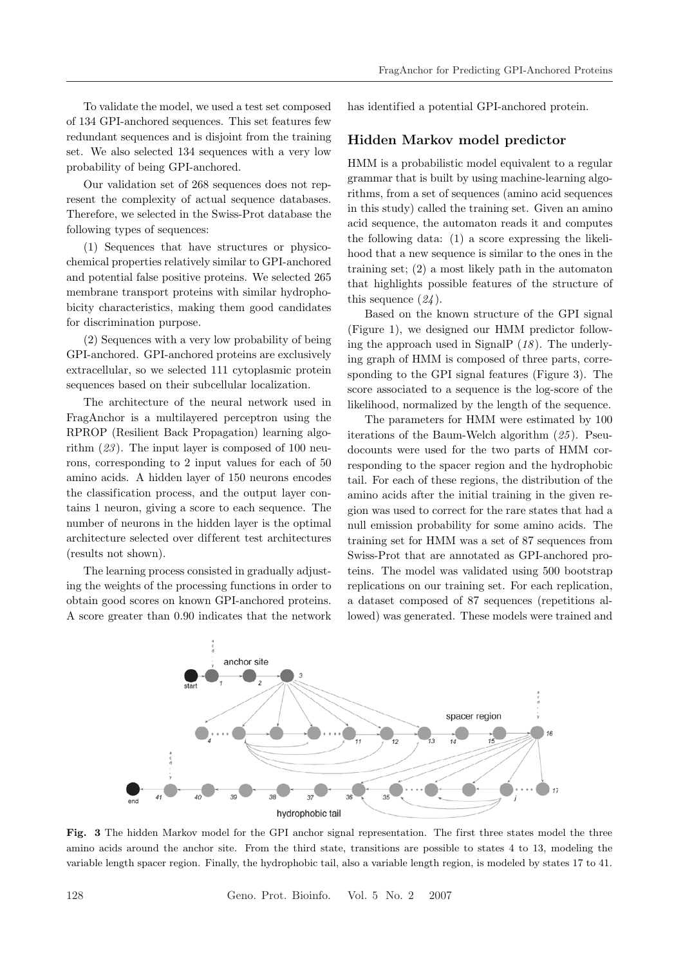To validate the model, we used a test set composed of 134 GPI-anchored sequences. This set features few redundant sequences and is disjoint from the training set. We also selected 134 sequences with a very low probability of being GPI-anchored.

Our validation set of 268 sequences does not represent the complexity of actual sequence databases. Therefore, we selected in the Swiss-Prot database the following types of sequences:

(1) Sequences that have structures or physicochemical properties relatively similar to GPI-anchored and potential false positive proteins. We selected 265 membrane transport proteins with similar hydrophobicity characteristics, making them good candidates for discrimination purpose.

(2) Sequences with a very low probability of being GPI-anchored. GPI-anchored proteins are exclusively extracellular, so we selected 111 cytoplasmic protein sequences based on their subcellular localization.

The architecture of the neural network used in FragAnchor is a multilayered perceptron using the RPROP (Resilient Back Propagation) learning algorithm (*23* ). The input layer is composed of 100 neurons, corresponding to 2 input values for each of 50 amino acids. A hidden layer of 150 neurons encodes the classification process, and the output layer contains 1 neuron, giving a score to each sequence. The number of neurons in the hidden layer is the optimal architecture selected over different test architectures (results not shown).

The learning process consisted in gradually adjusting the weights of the processing functions in order to obtain good scores on known GPI-anchored proteins. A score greater than 0.90 indicates that the network has identified a potential GPI-anchored protein.

#### **Hidden Markov model predictor**

HMM is a probabilistic model equivalent to a regular grammar that is built by using machine-learning algorithms, from a set of sequences (amino acid sequences in this study) called the training set. Given an amino acid sequence, the automaton reads it and computes the following data: (1) a score expressing the likelihood that a new sequence is similar to the ones in the training set; (2) a most likely path in the automaton that highlights possible features of the structure of this sequence (*24* ).

Based on the known structure of the GPI signal (Figure 1), we designed our HMM predictor following the approach used in SignalP (*18* ). The underlying graph of HMM is composed of three parts, corresponding to the GPI signal features (Figure 3). The score associated to a sequence is the log-score of the likelihood, normalized by the length of the sequence.

The parameters for HMM were estimated by 100 iterations of the Baum-Welch algorithm (*25* ). Pseudocounts were used for the two parts of HMM corresponding to the spacer region and the hydrophobic tail. For each of these regions, the distribution of the amino acids after the initial training in the given region was used to correct for the rare states that had a null emission probability for some amino acids. The training set for HMM was a set of 87 sequences from Swiss-Prot that are annotated as GPI-anchored proteins. The model was validated using 500 bootstrap replications on our training set. For each replication, a dataset composed of 87 sequences (repetitions allowed) was generated. These models were trained and



**Fig. 3** The hidden Markov model for the GPI anchor signal representation. The first three states model the three amino acids around the anchor site. From the third state, transitions are possible to states 4 to 13, modeling the variable length spacer region. Finally, the hydrophobic tail, also a variable length region, is modeled by states 17 to 41.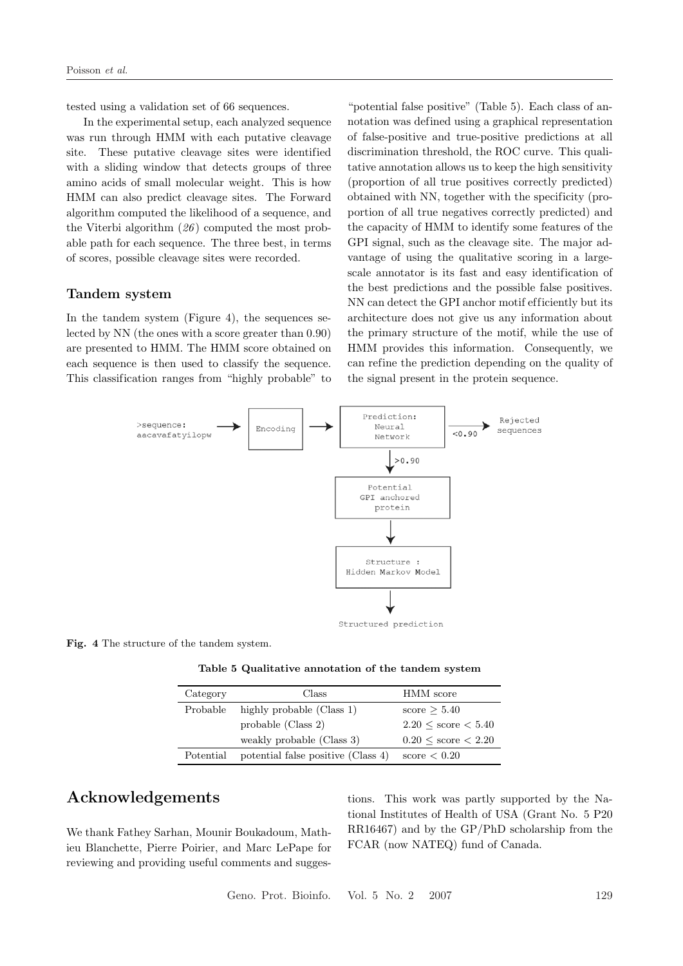tested using a validation set of 66 sequences.

In the experimental setup, each analyzed sequence was run through HMM with each putative cleavage site. These putative cleavage sites were identified with a sliding window that detects groups of three amino acids of small molecular weight. This is how HMM can also predict cleavage sites. The Forward algorithm computed the likelihood of a sequence, and the Viterbi algorithm (*26* ) computed the most probable path for each sequence. The three best, in terms of scores, possible cleavage sites were recorded.

#### **Tandem system**

In the tandem system (Figure 4), the sequences selected by NN (the ones with a score greater than 0.90) are presented to HMM. The HMM score obtained on each sequence is then used to classify the sequence. This classification ranges from "highly probable" to

"potential false positive" (Table 5). Each class of annotation was defined using a graphical representation of false-positive and true-positive predictions at all discrimination threshold, the ROC curve. This qualitative annotation allows us to keep the high sensitivity (proportion of all true positives correctly predicted) obtained with NN, together with the specificity (proportion of all true negatives correctly predicted) and the capacity of HMM to identify some features of the GPI signal, such as the cleavage site. The major advantage of using the qualitative scoring in a largescale annotator is its fast and easy identification of the best predictions and the possible false positives. NN can detect the GPI anchor motif ef ficiently but its architecture does not give us any information about the primary structure of the motif, while the use of HMM provides this information. Consequently, we can refine the prediction depending on the quality of the signal present in the protein sequence.



**Fig. 4** The structure of the tandem system.

**Table 5 Qualitative annotation of the tandem system**

| Category  | Class                              | HMM score                          |
|-----------|------------------------------------|------------------------------------|
| Probable  | highly probable (Class 1)          | score $\geq 5.40$                  |
|           | probable (Class 2)                 | $2.20 \leq \text{score} \leq 5.40$ |
|           | weakly probable (Class 3)          | $0.20 \leq \text{score} \leq 2.20$ |
| Potential | potential false positive (Class 4) | score $< 0.20$                     |

### **Acknowledgements**

We thank Fathey Sarhan, Mounir Boukadoum, Mathieu Blanchette, Pierre Poirier, and Marc LePape for reviewing and providing useful comments and sugges-

tions. This work was partly supported by the National Institutes of Health of USA (Grant No. 5 P20 RR16467) and by the GP/PhD scholarship from the FCAR (now NATEQ) fund of Canada.